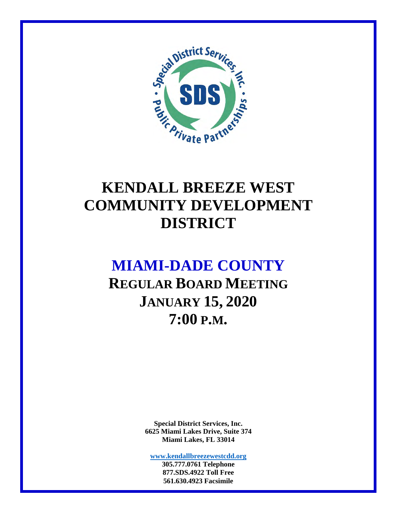

# **KENDALL BREEZE WEST COMMUNITY DEVELOPMENT DISTRICT**

# **MIAMI-DADE COUNTY**

**REGULAR BOARD MEETING JANUARY 15, 2020 7:00 P.M.** 

> **Special District Services, Inc. 6625 Miami Lakes Drive, Suite 374 Miami Lakes, FL 33014**

**www.kendallbreezewestcdd.org 305.777.0761 Telephone** 

**877.SDS.4922 Toll Free 561.630.4923 Facsimile**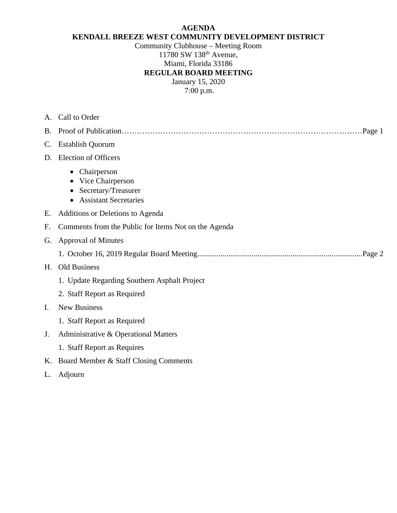#### **AGENDA KENDALL BREEZE WEST COMMUNITY DEVELOPMENT DISTRICT**

Community Clubhouse – Meeting Room 11780 SW 138th Avenue, Miami, Florida 33186 **REGULAR BOARD MEETING**  January 15, 2020

7:00 p.m.

| А.             | Call to Order                                                                          |
|----------------|----------------------------------------------------------------------------------------|
| <b>B.</b>      | Page 1                                                                                 |
| $\mathbf{C}$ . | <b>Establish Quorum</b>                                                                |
| D.             | <b>Election of Officers</b>                                                            |
|                | Chairperson<br>Vice Chairperson<br>Secretary/Treasurer<br><b>Assistant Secretaries</b> |
| Е.             | Additions or Deletions to Agenda                                                       |
| F.             | Comments from the Public for Items Not on the Agenda                                   |
| G.             | <b>Approval of Minutes</b>                                                             |
|                |                                                                                        |
| H.             | Old Business                                                                           |
|                | 1. Update Regarding Southern Asphalt Project                                           |
|                | 2. Staff Report as Required                                                            |
| $\mathbf{I}$ . | <b>New Business</b>                                                                    |
|                | 1. Staff Report as Required                                                            |
| J.             | Administrative & Operational Matters                                                   |
|                | 1. Staff Report as Requires                                                            |
| Κ.             | Board Member & Staff Closing Comments                                                  |
| L.             | Adjourn                                                                                |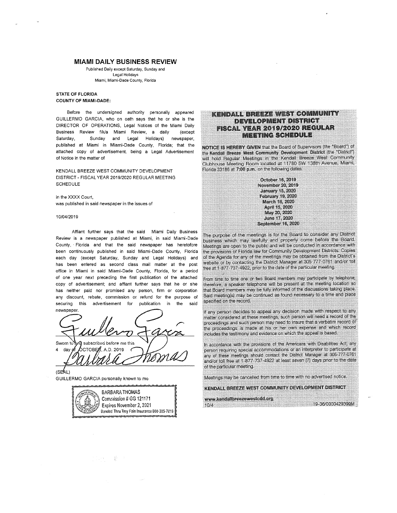#### **MIAMI DAILY BUSINESS REVIEW**

Published Daily except Saturday, Sunday and Legal Holidays Miami, Miami-Dade County, Florida

#### STATE OF FLORIDA **COUNTY OF MIAMI-DADE:**

Before the undersigned authority personally appeared GUILLERMO GARCIA, who on oath says that he or she is the DIRECTOR OF OPERATIONS, Legal Notices of the Miami Daily Business Review f/k/a Miami Review, a daily (except Sunday and Legal Holidays) newspaper, Saturday. published at Miami in Miami-Dade County, Florida; that the attached copy of advertisement, being a Legal Advertisement of Notice in the matter of

KENDALL BREEZE WEST COMMUNITY DEVELOPMENT DISTRICT - FISCAL YEAR 2019/2020 REGULAR MEETING **SCHEDULE** 

in the XXXX Court, was published in said newspaper in the issues of

#### 10/04/2019

Affiant further says that the said Miami Daily Business Review is a newspaper published at Miami, in said Miami-Dade County, Florida and that the said newspaper has heretofore been continuously published in said Miami-Dade County, Florida each day (except Saturday, Sunday and Legal Holidays) and has been entered as second class mail matter at the post office in Miami in said Miami-Dade County, Florida, for a period of one year next preceding the first publication of the attached copy of advertisement; and affiant further says that he or she has neither paid nor promised any person, firm or corporation any discount, rebate, commission or refund for the purpose of securina this advertisement for publication in the said newspaper.

subscribed before me this Sworn to **SCTOBER, A.D. 2019.** day

 $(SEAL)$ 

GUILLERMO GARCIA personally known to me

**BARBARA THOMAS** Commission # GG 121171 Expires November 2, 2021 Banded Thru Troy Fain Insurance 800-385-7019

#### **KENDALL BREEZE WEST COMMUNITY** DEVELOPMENT DISTRICT FISCAL YEAR 2019/2020 REGULAR MEETING SCHEDULE

NOTICE IS HEREBY GIVEN that the Board of Supervisors (the "Board") of the Kendall Breeze West Community Development District (the "District") will hold Begular Meetings in the Kendall Breeze West Community<br>Calchouse Meeting Room located at 11780 SW 138th Avenue, Miami, Florida 33186 at 7:00 p.m. on the following defer.

> October 16, 2019 November 20, 2019 January 15, 2020. February 19, 2020 Merch 16, 2020 April 15, 2020 May 20, 2020 June 17, 2020 September 16, 2020

The purpose of the meetings is for the Board to consider any District business which may lawfully and properly come before the Board. Meetings are open to the public and will be conducted in accordance with the provisions of Florida law for Community Development Districts. Copies of the Agencia for any of the meetings may be obtained from the District's website or by contacting the District Manager at 305-777-0761 and/or toll free at 1-877-737-4922, onor to the date of the particular meeting.

From time to time one or two Board members may participate by belephone, therefore, a speaker telephone will be present at the meeting location acthat Point nambers may be fully informed of the discussions laking place. Said meeting(s) may be continued as found necessary to a time and place. specified on the record.

If any person declips to appeal any decision made with respect to any matter considered at those meetings, such person will need a record of the proceedings and such person may head to insure that a verbatim report of the proceedings is made at his or her own expense and which record includes the testimony and evidence on which the appeal is based.

in accordance with the provisions of the Americans with Disabilities Act, any person requiring special accommodations or an interpreter to participate at any of these meetings should contact the District Manager at 306-777-0761. and/or toll free at 1-877-737-4922 at least seven [7] days prior to the date of the particular monitor.

Meetings may be cancelled from time to time with no advertised notice.

KENDALL BREEZE WEST COMMUNITY DEVELOPMENT DISTRICT

www.kendalltroozowestodd.org - 19-36-0000429309M That is a series of the company of the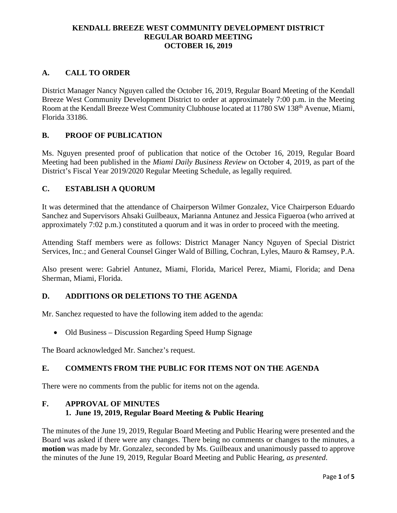#### **KENDALL BREEZE WEST COMMUNITY DEVELOPMENT DISTRICT REGULAR BOARD MEETING OCTOBER 16, 2019**

### **A. CALL TO ORDER**

District Manager Nancy Nguyen called the October 16, 2019, Regular Board Meeting of the Kendall Breeze West Community Development District to order at approximately 7:00 p.m. in the Meeting Room at the Kendall Breeze West Community Clubhouse located at 11780 SW 138<sup>th</sup> Avenue, Miami, Florida 33186.

### **B. PROOF OF PUBLICATION**

Ms. Nguyen presented proof of publication that notice of the October 16, 2019, Regular Board Meeting had been published in the *Miami Daily Business Review* on October 4, 2019, as part of the District's Fiscal Year 2019/2020 Regular Meeting Schedule, as legally required.

### **C. ESTABLISH A QUORUM**

It was determined that the attendance of Chairperson Wilmer Gonzalez, Vice Chairperson Eduardo Sanchez and Supervisors Ahsaki Guilbeaux, Marianna Antunez and Jessica Figueroa (who arrived at approximately 7:02 p.m.) constituted a quorum and it was in order to proceed with the meeting.

Attending Staff members were as follows: District Manager Nancy Nguyen of Special District Services, Inc.; and General Counsel Ginger Wald of Billing, Cochran, Lyles, Mauro & Ramsey, P.A.

Also present were: Gabriel Antunez, Miami, Florida, Maricel Perez, Miami, Florida; and Dena Sherman, Miami, Florida.

### **D. ADDITIONS OR DELETIONS TO THE AGENDA**

Mr. Sanchez requested to have the following item added to the agenda:

• Old Business – Discussion Regarding Speed Hump Signage

The Board acknowledged Mr. Sanchez's request.

#### **E. COMMENTS FROM THE PUBLIC FOR ITEMS NOT ON THE AGENDA**

There were no comments from the public for items not on the agenda.

#### **F. APPROVAL OF MINUTES 1. June 19, 2019, Regular Board Meeting & Public Hearing**

The minutes of the June 19, 2019, Regular Board Meeting and Public Hearing were presented and the Board was asked if there were any changes. There being no comments or changes to the minutes, a **motion** was made by Mr. Gonzalez, seconded by Ms. Guilbeaux and unanimously passed to approve the minutes of the June 19, 2019, Regular Board Meeting and Public Hearing, *as presented*.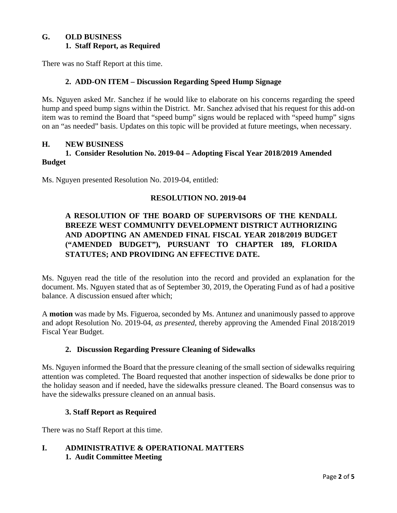#### **G. OLD BUSINESS 1. Staff Report, as Required**

There was no Staff Report at this time.

#### **2. ADD-ON ITEM – Discussion Regarding Speed Hump Signage**

Ms. Nguyen asked Mr. Sanchez if he would like to elaborate on his concerns regarding the speed hump and speed bump signs within the District. Mr. Sanchez advised that his request for this add-on item was to remind the Board that "speed bump" signs would be replaced with "speed hump" signs on an "as needed" basis. Updates on this topic will be provided at future meetings, when necessary.

#### **H. NEW BUSINESS**

#### **1. Consider Resolution No. 2019-04 – Adopting Fiscal Year 2018/2019 Amended Budget**

Ms. Nguyen presented Resolution No. 2019-04, entitled:

#### **RESOLUTION NO. 2019-04**

## **A RESOLUTION OF THE BOARD OF SUPERVISORS OF THE KENDALL BREEZE WEST COMMUNITY DEVELOPMENT DISTRICT AUTHORIZING AND ADOPTING AN AMENDED FINAL FISCAL YEAR 2018/2019 BUDGET ("AMENDED BUDGET"), PURSUANT TO CHAPTER 189, FLORIDA STATUTES; AND PROVIDING AN EFFECTIVE DATE.**

Ms. Nguyen read the title of the resolution into the record and provided an explanation for the document. Ms. Nguyen stated that as of September 30, 2019, the Operating Fund as of had a positive balance. A discussion ensued after which;

A **motion** was made by Ms. Figueroa, seconded by Ms. Antunez and unanimously passed to approve and adopt Resolution No. 2019-04, *as presented*, thereby approving the Amended Final 2018/2019 Fiscal Year Budget.

#### **2. Discussion Regarding Pressure Cleaning of Sidewalks**

Ms. Nguyen informed the Board that the pressure cleaning of the small section of sidewalks requiring attention was completed. The Board requested that another inspection of sidewalks be done prior to the holiday season and if needed, have the sidewalks pressure cleaned. The Board consensus was to have the sidewalks pressure cleaned on an annual basis.

#### **3. Staff Report as Required**

There was no Staff Report at this time.

### **I. ADMINISTRATIVE & OPERATIONAL MATTERS 1. Audit Committee Meeting**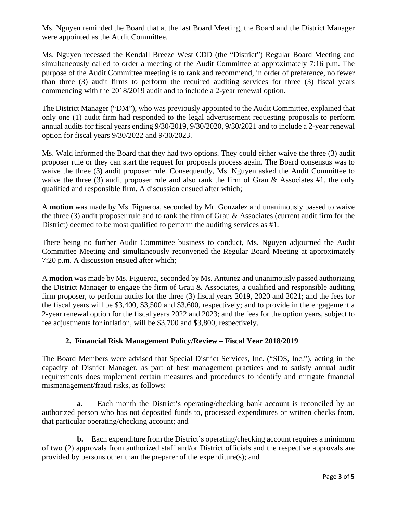Ms. Nguyen reminded the Board that at the last Board Meeting, the Board and the District Manager were appointed as the Audit Committee.

Ms. Nguyen recessed the Kendall Breeze West CDD (the "District") Regular Board Meeting and simultaneously called to order a meeting of the Audit Committee at approximately 7:16 p.m. The purpose of the Audit Committee meeting is to rank and recommend, in order of preference, no fewer than three (3) audit firms to perform the required auditing services for three (3) fiscal years commencing with the 2018/2019 audit and to include a 2-year renewal option.

The District Manager ("DM"), who was previously appointed to the Audit Committee, explained that only one (1) audit firm had responded to the legal advertisement requesting proposals to perform annual audits for fiscal years ending 9/30/2019, 9/30/2020, 9/30/2021 and to include a 2-year renewal option for fiscal years 9/30/2022 and 9/30/2023.

Ms. Wald informed the Board that they had two options. They could either waive the three (3) audit proposer rule or they can start the request for proposals process again. The Board consensus was to waive the three (3) audit proposer rule. Consequently, Ms. Nguyen asked the Audit Committee to waive the three (3) audit proposer rule and also rank the firm of Grau  $\&$  Associates #1, the only qualified and responsible firm. A discussion ensued after which;

A **motion** was made by Ms. Figueroa, seconded by Mr. Gonzalez and unanimously passed to waive the three (3) audit proposer rule and to rank the firm of Grau & Associates (current audit firm for the District) deemed to be most qualified to perform the auditing services as #1.

There being no further Audit Committee business to conduct, Ms. Nguyen adjourned the Audit Committee Meeting and simultaneously reconvened the Regular Board Meeting at approximately 7:20 p.m. A discussion ensued after which;

A **motion** was made by Ms. Figueroa, seconded by Ms. Antunez and unanimously passed authorizing the District Manager to engage the firm of Grau & Associates, a qualified and responsible auditing firm proposer, to perform audits for the three (3) fiscal years 2019, 2020 and 2021; and the fees for the fiscal years will be \$3,400, \$3,500 and \$3,600, respectively; and to provide in the engagement a 2-year renewal option for the fiscal years 2022 and 2023; and the fees for the option years, subject to fee adjustments for inflation, will be \$3,700 and \$3,800, respectively.

### **2. Financial Risk Management Policy/Review – Fiscal Year 2018/2019**

The Board Members were advised that Special District Services, Inc. ("SDS, Inc."), acting in the capacity of District Manager, as part of best management practices and to satisfy annual audit requirements does implement certain measures and procedures to identify and mitigate financial mismanagement/fraud risks, as follows:

 **a.** Each month the District's operating/checking bank account is reconciled by an authorized person who has not deposited funds to, processed expenditures or written checks from, that particular operating/checking account; and

 **b.** Each expenditure from the District's operating/checking account requires a minimum of two (2) approvals from authorized staff and/or District officials and the respective approvals are provided by persons other than the preparer of the expenditure(s); and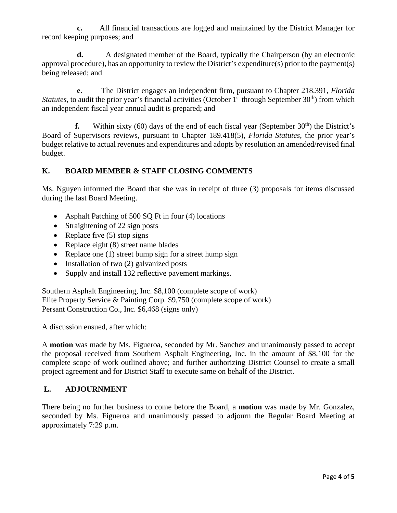**c.** All financial transactions are logged and maintained by the District Manager for record keeping purposes; and

 **d.** A designated member of the Board, typically the Chairperson (by an electronic approval procedure), has an opportunity to review the District's expenditure(s) prior to the payment(s) being released; and

 **e.** The District engages an independent firm, pursuant to Chapter 218.391, *Florida Statutes*, to audit the prior year's financial activities (October 1<sup>st</sup> through September 30<sup>th</sup>) from which an independent fiscal year annual audit is prepared; and

**f.** Within sixty (60) days of the end of each fiscal year (September  $30<sup>th</sup>$ ) the District's Board of Supervisors reviews, pursuant to Chapter 189.418(5), *Florida Statutes*, the prior year's budget relative to actual revenues and expenditures and adopts by resolution an amended/revised final budget.

## **K. BOARD MEMBER & STAFF CLOSING COMMENTS**

Ms. Nguyen informed the Board that she was in receipt of three (3) proposals for items discussed during the last Board Meeting.

- Asphalt Patching of 500 SQ Ft in four (4) locations
- Straightening of 22 sign posts
- Replace five  $(5)$  stop signs
- Replace eight  $(8)$  street name blades
- Replace one  $(1)$  street bump sign for a street hump sign
- Installation of two  $(2)$  galvanized posts
- Supply and install 132 reflective pavement markings.

Southern Asphalt Engineering, Inc. \$8,100 (complete scope of work) Elite Property Service & Painting Corp. \$9,750 (complete scope of work) Persant Construction Co., Inc. \$6,468 (signs only)

A discussion ensued, after which:

A **motion** was made by Ms. Figueroa, seconded by Mr. Sanchez and unanimously passed to accept the proposal received from Southern Asphalt Engineering, Inc. in the amount of \$8,100 for the complete scope of work outlined above; and further authorizing District Counsel to create a small project agreement and for District Staff to execute same on behalf of the District.

### **L. ADJOURNMENT**

There being no further business to come before the Board, a **motion** was made by Mr. Gonzalez, seconded by Ms. Figueroa and unanimously passed to adjourn the Regular Board Meeting at approximately 7:29 p.m.